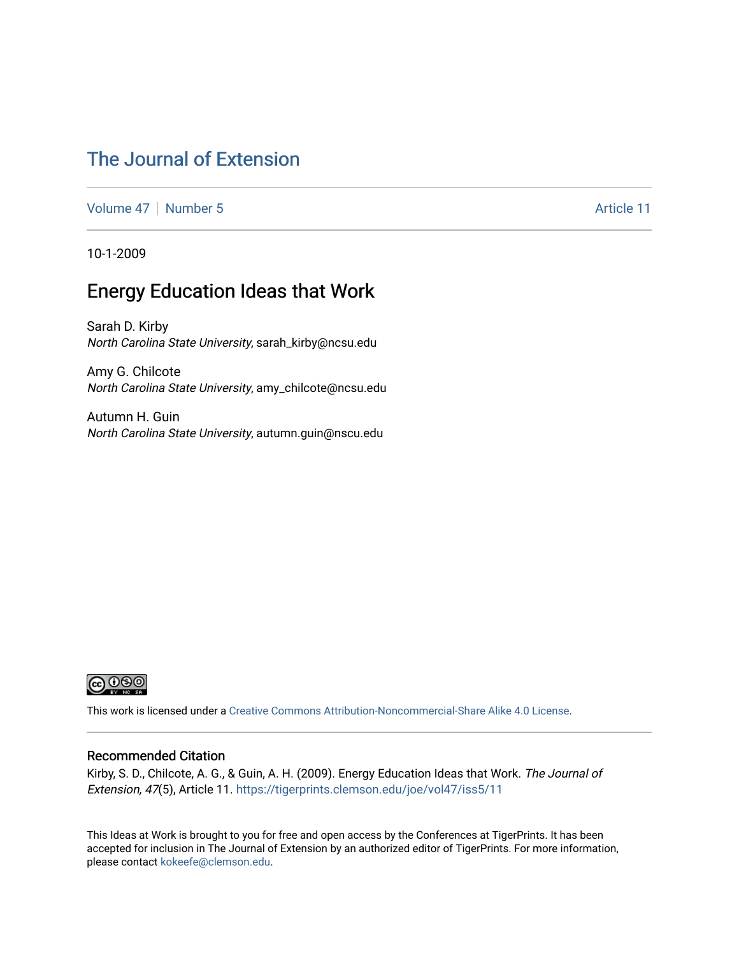## [The Journal of Extension](https://tigerprints.clemson.edu/joe)

[Volume 47](https://tigerprints.clemson.edu/joe/vol47) | [Number 5](https://tigerprints.clemson.edu/joe/vol47/iss5) Article 11

10-1-2009

### Energy Education Ideas that Work

Sarah D. Kirby North Carolina State University, sarah\_kirby@ncsu.edu

Amy G. Chilcote North Carolina State University, amy\_chilcote@ncsu.edu

Autumn H. Guin North Carolina State University, autumn.guin@nscu.edu



This work is licensed under a [Creative Commons Attribution-Noncommercial-Share Alike 4.0 License.](https://creativecommons.org/licenses/by-nc-sa/4.0/)

#### Recommended Citation

Kirby, S. D., Chilcote, A. G., & Guin, A. H. (2009). Energy Education Ideas that Work. The Journal of Extension, 47(5), Article 11. <https://tigerprints.clemson.edu/joe/vol47/iss5/11>

This Ideas at Work is brought to you for free and open access by the Conferences at TigerPrints. It has been accepted for inclusion in The Journal of Extension by an authorized editor of TigerPrints. For more information, please contact [kokeefe@clemson.edu](mailto:kokeefe@clemson.edu).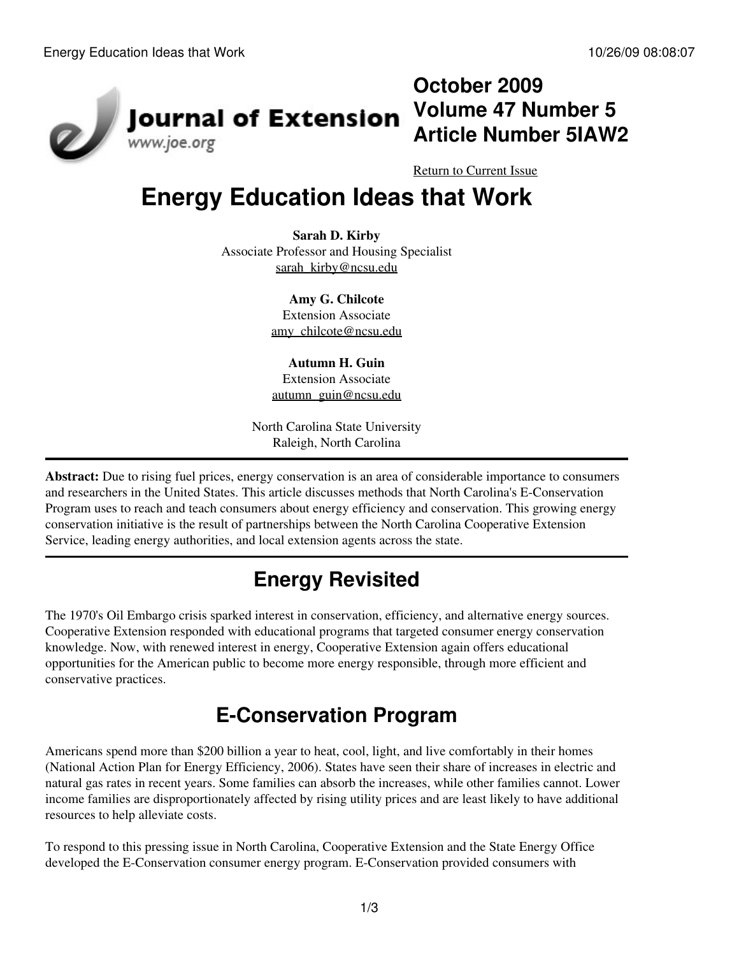

## **October 2009 Volume 47 Number 5 Article Number 5IAW2**

[Return to Current Issue](http://www.joe.org:80/joe/2009october/)

# **Energy Education Ideas that Work**

**Sarah D. Kirby** Associate Professor and Housing Specialist [sarah\\_kirby@ncsu.edu](mailto:sarah_kirby@ncsu.edu)

> **Amy G. Chilcote** Extension Associate [amy\\_chilcote@ncsu.edu](mailto:amy_chilcote@ncsu.edu)

**Autumn H. Guin** Extension Associate [autumn\\_guin@ncsu.edu](mailto:autumn_guin@ncsu.edu)

North Carolina State University Raleigh, North Carolina

**Abstract:** Due to rising fuel prices, energy conservation is an area of considerable importance to consumers and researchers in the United States. This article discusses methods that North Carolina's E-Conservation Program uses to reach and teach consumers about energy efficiency and conservation. This growing energy conservation initiative is the result of partnerships between the North Carolina Cooperative Extension Service, leading energy authorities, and local extension agents across the state.

# **Energy Revisited**

The 1970's Oil Embargo crisis sparked interest in conservation, efficiency, and alternative energy sources. Cooperative Extension responded with educational programs that targeted consumer energy conservation knowledge. Now, with renewed interest in energy, Cooperative Extension again offers educational opportunities for the American public to become more energy responsible, through more efficient and conservative practices.

# **E-Conservation Program**

Americans spend more than \$200 billion a year to heat, cool, light, and live comfortably in their homes (National Action Plan for Energy Efficiency, 2006). States have seen their share of increases in electric and natural gas rates in recent years. Some families can absorb the increases, while other families cannot. Lower income families are disproportionately affected by rising utility prices and are least likely to have additional resources to help alleviate costs.

To respond to this pressing issue in North Carolina, Cooperative Extension and the State Energy Office developed the E-Conservation consumer energy program. E-Conservation provided consumers with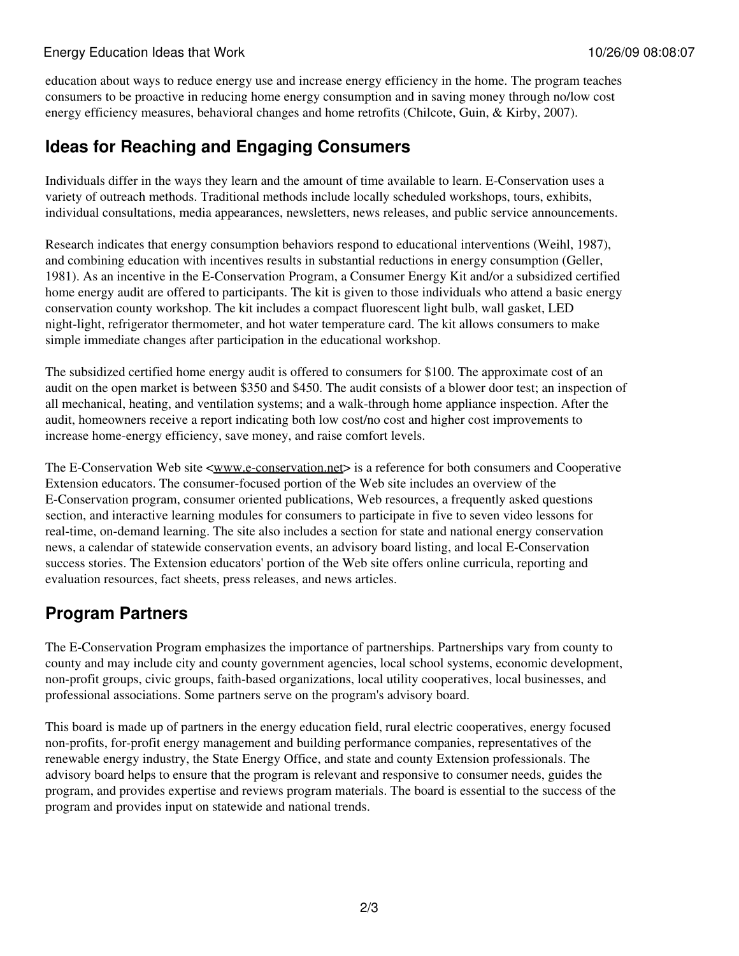#### Energy Education Ideas that Work 10/26/09 08:08:07

education about ways to reduce energy use and increase energy efficiency in the home. The program teaches consumers to be proactive in reducing home energy consumption and in saving money through no/low cost energy efficiency measures, behavioral changes and home retrofits (Chilcote, Guin, & Kirby, 2007).

### **Ideas for Reaching and Engaging Consumers**

Individuals differ in the ways they learn and the amount of time available to learn. E-Conservation uses a variety of outreach methods. Traditional methods include locally scheduled workshops, tours, exhibits, individual consultations, media appearances, newsletters, news releases, and public service announcements.

Research indicates that energy consumption behaviors respond to educational interventions (Weihl, 1987), and combining education with incentives results in substantial reductions in energy consumption (Geller, 1981). As an incentive in the E-Conservation Program, a Consumer Energy Kit and/or a subsidized certified home energy audit are offered to participants. The kit is given to those individuals who attend a basic energy conservation county workshop. The kit includes a compact fluorescent light bulb, wall gasket, LED night-light, refrigerator thermometer, and hot water temperature card. The kit allows consumers to make simple immediate changes after participation in the educational workshop.

The subsidized certified home energy audit is offered to consumers for \$100. The approximate cost of an audit on the open market is between \$350 and \$450. The audit consists of a blower door test; an inspection of all mechanical, heating, and ventilation systems; and a walk-through home appliance inspection. After the audit, homeowners receive a report indicating both low cost/no cost and higher cost improvements to increase home-energy efficiency, save money, and raise comfort levels.

The E-Conservation Web site <[www.e-conservation.net](http://www.e-conservation.net/)> is a reference for both consumers and Cooperative Extension educators. The consumer-focused portion of the Web site includes an overview of the E-Conservation program, consumer oriented publications, Web resources, a frequently asked questions section, and interactive learning modules for consumers to participate in five to seven video lessons for real-time, on-demand learning. The site also includes a section for state and national energy conservation news, a calendar of statewide conservation events, an advisory board listing, and local E-Conservation success stories. The Extension educators' portion of the Web site offers online curricula, reporting and evaluation resources, fact sheets, press releases, and news articles.

### **Program Partners**

The E-Conservation Program emphasizes the importance of partnerships. Partnerships vary from county to county and may include city and county government agencies, local school systems, economic development, non-profit groups, civic groups, faith-based organizations, local utility cooperatives, local businesses, and professional associations. Some partners serve on the program's advisory board.

This board is made up of partners in the energy education field, rural electric cooperatives, energy focused non-profits, for-profit energy management and building performance companies, representatives of the renewable energy industry, the State Energy Office, and state and county Extension professionals. The advisory board helps to ensure that the program is relevant and responsive to consumer needs, guides the program, and provides expertise and reviews program materials. The board is essential to the success of the program and provides input on statewide and national trends.